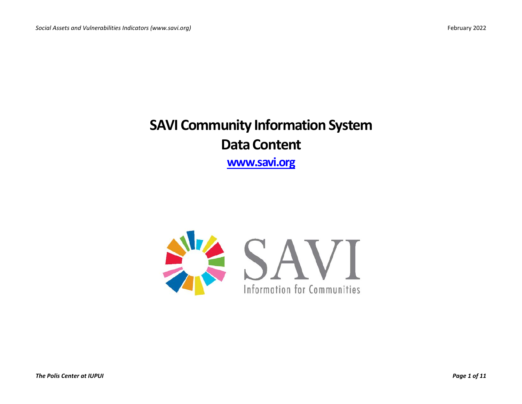## **SAVI Community Information System Data Content [www.savi.org](http://www.savi.org/)**

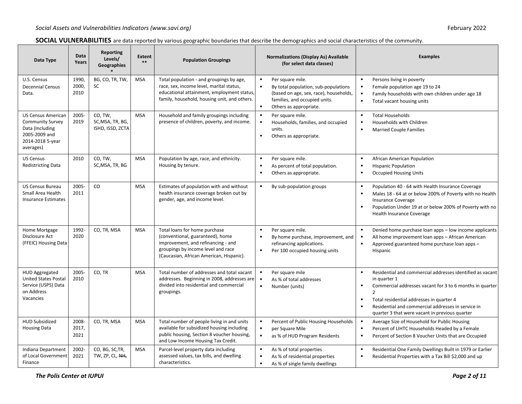| SOCIAL VULNERABILITIES are data reported by various geographic boundaries that describe the demographics and social characteristics of the community. |
|-------------------------------------------------------------------------------------------------------------------------------------------------------|
|-------------------------------------------------------------------------------------------------------------------------------------------------------|

| Data Type                                                                                                                 | Data<br>Years          | <b>Reporting</b><br>Levels/<br>Geographies      | <b>Extent</b><br>$**$ | <b>Population Groupings</b>                                                                                                                                                               | <b>Normalizations (Display As) Available</b><br>(for select data classes)                                                                                                                                           | <b>Examples</b>                                                                                                                                                                                                                                                                                                                                                                     |
|---------------------------------------------------------------------------------------------------------------------------|------------------------|-------------------------------------------------|-----------------------|-------------------------------------------------------------------------------------------------------------------------------------------------------------------------------------------|---------------------------------------------------------------------------------------------------------------------------------------------------------------------------------------------------------------------|-------------------------------------------------------------------------------------------------------------------------------------------------------------------------------------------------------------------------------------------------------------------------------------------------------------------------------------------------------------------------------------|
| U.S. Census<br><b>Decennial Census</b><br>Data.                                                                           | 1990,<br>2000,<br>2010 | BG, CO, TR, TW,<br><b>SC</b>                    | <b>MSA</b>            | Total population - and groupings by age,<br>race, sex, income level, marital status,<br>educational attainment, employment status,<br>family, household, housing unit, and others.        | $\blacksquare$<br>Per square mile.<br>$\blacksquare$<br>By total population, sub-populations<br>(based on age, sex, race), households,<br>families, and occupied units.<br>$\blacksquare$<br>Others as appropriate. | $\blacksquare$<br>Persons living in poverty<br>Female population age 19 to 24<br>$\blacksquare$<br>Family households with own children under age 18<br>$\blacksquare$<br>Total vacant housing units                                                                                                                                                                                 |
| <b>US Census American</b><br><b>Community Survey</b><br>Data (Including<br>2005-2009 and<br>2014-2018 5-year<br>averages) | 2005-<br>2019          | CO, TW,<br>SC, MSA, TR, BG,<br>ISHD, ISSD, ZCTA | <b>MSA</b>            | Household and family groupings including<br>presence of children, poverty, and income.                                                                                                    | Per square mile.<br>Households, families, and occupied<br>$\blacksquare$<br>units.<br>$\blacksquare$<br>Others as appropriate.                                                                                      | $\blacksquare$<br><b>Total Households</b><br>Households with Children<br>$\blacksquare$<br>$\blacksquare$<br><b>Married Couple Families</b>                                                                                                                                                                                                                                         |
| <b>US Census</b><br><b>Redistricting Data</b>                                                                             | 2010                   | CO, TW,<br>SC, MSA, TR, BG                      | <b>MSA</b>            | Population by age, race, and ethnicity.<br>Housing by tenure.                                                                                                                             | $\blacksquare$<br>Per square mile.<br>$\blacksquare$<br>As percent of total population.<br>$\blacksquare$<br>Others as appropriate.                                                                                 | $\blacksquare$<br>African American Population<br>$\blacksquare$<br><b>Hispanic Population</b><br><b>Occupied Housing Units</b><br>$\blacksquare$                                                                                                                                                                                                                                    |
| <b>US Census Bureau</b><br>Small Area Health<br><b>Insurance Estimates</b>                                                | 2005-<br>2011          | CO                                              | <b>MSA</b>            | Estimates of population with and without<br>health insurance coverage broken out by<br>gender, age, and income level.                                                                     | $\blacksquare$<br>By sub-population groups                                                                                                                                                                          | Population 40 - 64 with Health Insurance Coverage<br>$\blacksquare$<br>$\blacksquare$<br>Males 18 - 64 at or below 200% of Poverty with no Health<br><b>Insurance Coverage</b><br>Population Under 19 at or below 200% of Poverty with no<br>$\blacksquare$<br>Health Insurance Coverage                                                                                            |
| Home Mortgage<br>Disclosure Act<br>(FFEIC) Housing Data                                                                   | 1992-<br>2020          | CO, TR, MSA                                     | <b>MSA</b>            | Total loans for home purchase<br>(conventional, guaranteed), home<br>improvement, and refinancing - and<br>groupings by income level and race<br>(Caucasian, African American, Hispanic). | Per square mile.<br>By home purchase, improvement, and<br>refinancing applications.<br>$\blacksquare$<br>Per 100 occupied housing units                                                                             | Denied home purchase loan apps - low income applicants<br>All home improvement loan apps - African American<br>$\blacksquare$<br>Approved guaranteed home purchase loan apps -<br>Hispanic                                                                                                                                                                                          |
| <b>HUD Aggregated</b><br><b>United States Postal</b><br>Service (USPS) Data<br>on Address<br>Vacancies                    | 2005-<br>2010          | CO, TR                                          | <b>MSA</b>            | Total number of addresses and total vacant<br>addresses. Beginning in 2008, addresses are<br>divided into residential and commercial<br>groupings.                                        | Per square mile<br>$\blacksquare$<br>As % of total addresses<br>Number (units)                                                                                                                                      | $\blacksquare$<br>Residential and commercial addresses identified as vacant<br>in quarter 1<br>Commercial addresses vacant for 3 to 6 months in quarter<br>$\blacksquare$<br>$\overline{2}$<br>Total residential addresses in quarter 4<br>$\blacksquare$<br>$\blacksquare$<br>Residential and commercial addresses in service in<br>quarter 3 that were vacant in previous quarter |
| <b>HUD Subsidized</b><br><b>Housing Data</b>                                                                              | 2008-<br>2017,<br>2021 | CO, TR, MSA                                     | <b>MSA</b>            | Total number of people living in and units<br>available for subsidized housing including<br>public housing, Section 8 voucher housing,<br>and Low Income Housing Tax Credit.              | Percent of Public Housing Households<br>$\blacksquare$<br>per Square Mile<br>$\blacksquare$<br>as % of HUD Program Residents                                                                                        | Average Size of Household for Public Housing<br>$\blacksquare$<br>Percent of LIHTC Households Headed by a Female<br>$\blacksquare$<br>$\blacksquare$<br>Percent of Section 8 Voucher Units that are Occupied                                                                                                                                                                        |
| Indiana Department<br>of Local Government<br>Finance                                                                      | 2002-<br>2021          | CO, BG, SC, TR,<br>TW, ZP, CL, NH,              | <b>MSA</b>            | Parcel-level property data including<br>assessed values, tax bills, and dwelling<br>characteristics.                                                                                      | As % of total properties<br>$\blacksquare$<br>As % of residential properties<br>As % of single family dwellings                                                                                                     | Residential One Family Dwellings Built in 1979 or Earlier<br>$\blacksquare$<br>$\blacksquare$<br>Residential Properties with a Tax Bill \$2,000 and up                                                                                                                                                                                                                              |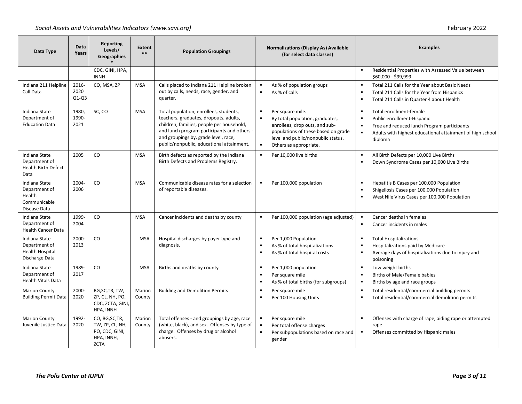| Data Type                                                                | Data<br>Years            | Reporting<br>Levels/<br>Geographies                                               | Extent<br>$***$  | <b>Population Groupings</b>                                                                                                                                                                                                                                       | <b>Normalizations (Display As) Available</b><br>(for select data classes)                                                                                                                                                                          | <b>Examples</b>                                                                                                                                                                                                                    |
|--------------------------------------------------------------------------|--------------------------|-----------------------------------------------------------------------------------|------------------|-------------------------------------------------------------------------------------------------------------------------------------------------------------------------------------------------------------------------------------------------------------------|----------------------------------------------------------------------------------------------------------------------------------------------------------------------------------------------------------------------------------------------------|------------------------------------------------------------------------------------------------------------------------------------------------------------------------------------------------------------------------------------|
|                                                                          |                          | CDC, GINI, HPA,<br><b>INNH</b>                                                    |                  |                                                                                                                                                                                                                                                                   |                                                                                                                                                                                                                                                    | Residential Properties with Assessed Value between<br>$\blacksquare$<br>\$60,000 - \$99,999                                                                                                                                        |
| Indiana 211 Helpline<br>Call Data                                        | 2016-<br>2020<br>$Q1-Q3$ | CO, MSA, ZP                                                                       | <b>MSA</b>       | Calls placed to Indiana 211 Helpline broken<br>out by calls, needs, race, gender, and<br>quarter.                                                                                                                                                                 | $\blacksquare$<br>As % of population groups<br>As % of calls<br>$\blacksquare$                                                                                                                                                                     | Total 211 Calls for the Year about Basic Needs<br>$\blacksquare$<br>Total 211 Calls for the Year from Hispanics<br>$\blacksquare$<br>Total 211 Calls in Quarter 4 about Health<br>$\blacksquare$                                   |
| Indiana State<br>Department of<br><b>Education Data</b>                  | 1980,<br>1990-<br>2021   | SC, CO                                                                            | <b>MSA</b>       | Total population, enrollees, students,<br>teachers, graduates, dropouts, adults,<br>children, families, people per household,<br>and lunch program participants and others -<br>and groupings by, grade level, race,<br>public/nonpublic, educational attainment. | Per square mile.<br>$\blacksquare$<br>$\blacksquare$<br>By total population, graduates,<br>enrollees, drop outs, and sub-<br>populations of these based on grade<br>level and public/nonpublic status.<br>$\blacksquare$<br>Others as appropriate. | Total enrollment-female<br>$\blacksquare$<br>$\blacksquare$<br>Public enrollment-Hispanic<br>Free and reduced lunch Program participants<br>$\blacksquare$<br>Adults with highest educational attainment of high school<br>diploma |
| Indiana State<br>Department of<br><b>Health Birth Defect</b><br>Data     | 2005                     | <b>CO</b>                                                                         | <b>MSA</b>       | Birth defects as reported by the Indiana<br>Birth Defects and Problems Registry.                                                                                                                                                                                  | Per 10,000 live births<br>$\blacksquare$                                                                                                                                                                                                           | All Birth Defects per 10,000 Live Births<br>$\blacksquare$<br>Down Syndrome Cases per 10,000 Live Births<br>$\blacksquare$                                                                                                         |
| Indiana State<br>Department of<br>Health<br>Communicable<br>Disease Data | 2004-<br>2006            | CO                                                                                | <b>MSA</b>       | Communicable disease rates for a selection<br>of reportable diseases.                                                                                                                                                                                             | Per 100,000 population<br>$\blacksquare$                                                                                                                                                                                                           | $\blacksquare$<br>Hepatitis B Cases per 100,000 Population<br>Shigellosis Cases per 100,000 Population<br>$\blacksquare$<br>West Nile Virus Cases per 100,000 Population<br>$\blacksquare$                                         |
| Indiana State<br>Department of<br><b>Health Cancer Data</b>              | 1999-<br>2004            | <b>CO</b>                                                                         | <b>MSA</b>       | Cancer incidents and deaths by county                                                                                                                                                                                                                             | Per 100,000 population (age adjusted)<br>$\blacksquare$                                                                                                                                                                                            | Cancer deaths in females<br>$\blacksquare$<br>Cancer incidents in males                                                                                                                                                            |
| Indiana State<br>Department of<br>Health Hospital<br>Discharge Data      | 2000-<br>2013            | CO                                                                                | <b>MSA</b>       | Hospital discharges by payer type and<br>diagnosis.                                                                                                                                                                                                               | $\blacksquare$<br>Per 1,000 Population<br>As % of total hospitalizations<br>As % of total hospital costs<br>$\blacksquare$                                                                                                                         | $\blacksquare$<br><b>Total Hospitalizations</b><br>Hospitalizations paid by Medicare<br>$\blacksquare$<br>Average days of hospitalizations due to injury and<br>$\blacksquare$<br>poisoning                                        |
| Indiana State<br>Department of<br><b>Health Vitals Data</b>              | 1989-<br>2017            | CO                                                                                | <b>MSA</b>       | Births and deaths by county                                                                                                                                                                                                                                       | $\blacksquare$<br>Per 1,000 population<br>$\blacksquare$<br>Per square mile<br>$\blacksquare$<br>As % of total births (for subgroups)                                                                                                              | $\blacksquare$<br>Low weight births<br>Births of Male/Female babies<br>$\blacksquare$<br>$\blacksquare$<br>Births by age and race groups                                                                                           |
| <b>Marion County</b><br><b>Building Permit Data</b>                      | 2000-<br>2020            | BG, SC, TR, TW,<br>ZP, CL, NH, PO,<br>CDC, ZCTA, GINI,<br>HPA, INNH               | Marion<br>County | <b>Building and Demolition Permits</b>                                                                                                                                                                                                                            | $\blacksquare$<br>Per square mile<br>Per 100 Housing Units<br>$\blacksquare$                                                                                                                                                                       | Total residential/commercial building permits<br>$\blacksquare$<br>Total residential/commercial demolition permits<br>$\blacksquare$                                                                                               |
| <b>Marion County</b><br>Juvenile Justice Data                            | 1992-<br>2020            | CO, BG, SC, TR,<br>TW, ZP, CL, NH,<br>PO, CDC, GINI,<br>HPA, INNH,<br><b>ZCTA</b> | Marion<br>County | Total offenses - and groupings by age, race<br>(white, black), and sex. Offenses by type of<br>charge. Offenses by drug or alcohol<br>abusers.                                                                                                                    | Per square mile<br>$\blacksquare$<br>Per total offense charges<br>$\blacksquare$<br>Per subpopulations based on race and<br>gender                                                                                                                 | $\blacksquare$<br>Offenses with charge of rape, aiding rape or attempted<br>rape<br>Offenses committed by Hispanic males                                                                                                           |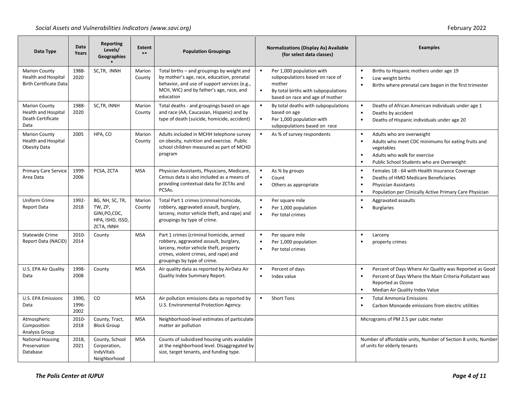| Data Type                                                                           | Data<br>Years          | Reporting<br>Levels/<br><b>Geographies</b>                                   | <b>Extent</b><br>$**$ | <b>Population Groupings</b>                                                                                                                                                                         | <b>Normalizations (Display As) Available</b><br>(for select data classes)                                                                                                            | <b>Examples</b>                                                                                                                                                                                                |  |  |  |  |  |
|-------------------------------------------------------------------------------------|------------------------|------------------------------------------------------------------------------|-----------------------|-----------------------------------------------------------------------------------------------------------------------------------------------------------------------------------------------------|--------------------------------------------------------------------------------------------------------------------------------------------------------------------------------------|----------------------------------------------------------------------------------------------------------------------------------------------------------------------------------------------------------------|--|--|--|--|--|
| <b>Marion County</b><br><b>Health and Hospital</b><br><b>Birth Certificate Data</b> | 1988-<br>2020          | SC, TR, INNH                                                                 | Marion<br>County      | Total births - and groupings by weight and<br>by mother's age, race, education, prenatal<br>behavior, and use of support services (e.g.,<br>MCH, WIC) and by father's age, race, and<br>education   | $\blacksquare$<br>Per 1,000 population with<br>subpopulations based on race of<br>mother<br>$\blacksquare$<br>By total births with subpopulations<br>based on race and age of mother | $\blacksquare$<br>Births to Hispanic mothers under age 19<br>Low weight births<br>$\blacksquare$<br>Births where prenatal care began in the first trimester                                                    |  |  |  |  |  |
| <b>Marion County</b><br><b>Health and Hospital</b><br>Death Certificate<br>Data     | 1988-<br>2020          | SC, TR, INNH                                                                 | Marion<br>County      | Total deaths - and groupings based on age<br>and race (AA, Caucasian, Hispanic) and by<br>type of death (suicide, homicide, accident)                                                               | By total deaths with subpopulations<br>based on age<br>$\blacksquare$<br>Per 1,000 population with<br>subpopulations based on race                                                   | Deaths of African American individuals under age 1<br>$\blacksquare$<br>$\blacksquare$<br>Deaths by accident<br>Deaths of Hispanic individuals under age 20<br>$\blacksquare$                                  |  |  |  |  |  |
| <b>Marion County</b><br><b>Health and Hospital</b><br><b>Obesity Data</b>           | 2005                   | HPA, CO                                                                      | Marion<br>County      | Adults included in MCHH telephone survey<br>on obesity, nutrition and exercise. Public<br>school children measured as part of MCHD<br>program                                                       | As % of survey respondents                                                                                                                                                           | $\blacksquare$<br>Adults who are overweight<br>Adults who meet CDC minimums for eating fruits and<br>vegetables<br>Adults who walk for exercise<br>$\blacksquare$<br>Public School Students who are Overweight |  |  |  |  |  |
| <b>Primary Care Service</b><br>Area Data                                            | 1999-<br>2006          | PCSA, ZCTA                                                                   | <b>MSA</b>            | Physician Assistants, Physicians, Medicare,<br>Census data is also included as a means of<br>providing contextual data for ZCTAs and<br>PCSAs.                                                      | As % by groups<br>$\blacksquare$<br>Count<br>Others as appropriate                                                                                                                   | Females 18 - 64 with Health Insurance Coverage<br>п<br>Deaths of HMO Medicare Beneficiaries<br>$\blacksquare$<br><b>Physician Assistants</b><br>Population per Clinically Active Primary Care Physician<br>п   |  |  |  |  |  |
| Uniform Crime<br><b>Report Data</b>                                                 | 1992-<br>2018          | BG, NH, SC, TR,<br>TW, ZP,<br>GINI.PO.CDC.<br>HPA, ISHD, ISSD,<br>ZCTA, INNH | Marion<br>County      | Total Part 1 crimes (criminal homicide,<br>robbery, aggravated assault, burglary,<br>larceny, motor vehicle theft, and rape) and<br>groupings by type of crime.                                     | Per square mile<br>$\blacksquare$<br>Per 1,000 population<br>$\blacksquare$<br>$\blacksquare$<br>Per total crimes                                                                    | ٠<br>Aggravated assaults<br>$\blacksquare$<br><b>Burglaries</b>                                                                                                                                                |  |  |  |  |  |
| <b>Statewide Crime</b><br>Report Data (NACID)                                       | 2010-<br>2014          | County                                                                       | <b>MSA</b>            | Part 1 crimes (criminal homicide, armed<br>robbery, aggravated assault, burglary,<br>larceny, motor vehicle theft, property<br>crimes, violent crimes, and rape) and<br>groupings by type of crime. | Per square mile<br>Per 1,000 population<br>$\blacksquare$<br>Per total crimes                                                                                                        | $\blacksquare$<br>Larceny<br>property crimes                                                                                                                                                                   |  |  |  |  |  |
| U.S. EPA Air Quality<br>Data                                                        | 1998-<br>2008          | County                                                                       | <b>MSA</b>            | Air quality data as reported by AirData Air<br>Quality Index Summary Report.                                                                                                                        | Percent of days<br>Index value                                                                                                                                                       | Percent of Days Where Air Quality was Reported as Good<br>$\blacksquare$<br>Percent of Days Where the Main Criteria Pollutant was<br>Reported as Ozone<br>$\blacksquare$<br>Median Air Quality Index Value     |  |  |  |  |  |
| <b>U.S. EPA Emissions</b><br>Data                                                   | 1990,<br>1996-<br>2002 | CO                                                                           | <b>MSA</b>            | Air pollution emissions data as reported by<br>U.S. Environmental Protection Agency.                                                                                                                | <b>Short Tons</b>                                                                                                                                                                    | <b>Total Ammonia Emissions</b><br>п<br>Carbon Monoxide emissions from electric utilities<br>$\blacksquare$                                                                                                     |  |  |  |  |  |
| Atmospheric<br>Composition<br>Analysis Group                                        | 2010-<br>2018          | County, Tract,<br><b>Block Group</b>                                         | <b>MSA</b>            | Neighborhood-level estimates of particulate<br>matter air pollution                                                                                                                                 |                                                                                                                                                                                      | Micrograms of PM 2.5 per cubic meter                                                                                                                                                                           |  |  |  |  |  |
| <b>National Housing</b><br>Preservation<br>Database                                 | 2018,<br>2021          | County, School<br>Corporation,<br>IndyVitals<br>Neighborhood                 | <b>MSA</b>            | Counts of subsidized housing units available<br>at the neighborhood level. Disaggregated by<br>size, target tenants, and funding type.                                                              |                                                                                                                                                                                      | Number of affordable units, Number of Section 8 units, Number<br>of units for elderly tenants                                                                                                                  |  |  |  |  |  |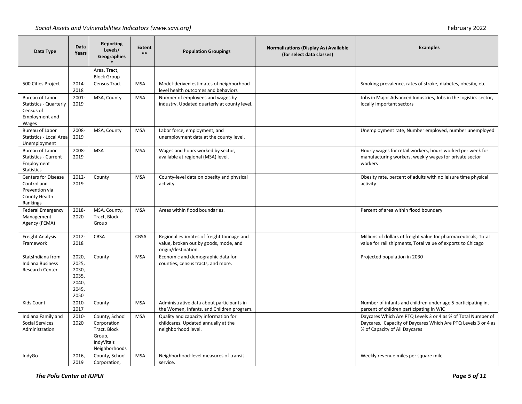| Data Type                                                                                | Data<br>Years                                              | Reporting<br>Levels/<br>Geographies                                                    | <b>Extent</b><br>$**$ | <b>Population Groupings</b>                                                                               | <b>Normalizations (Display As) Available</b><br>(for select data classes) | <b>Examples</b>                                                                                                                                                |
|------------------------------------------------------------------------------------------|------------------------------------------------------------|----------------------------------------------------------------------------------------|-----------------------|-----------------------------------------------------------------------------------------------------------|---------------------------------------------------------------------------|----------------------------------------------------------------------------------------------------------------------------------------------------------------|
|                                                                                          |                                                            | Area, Tract,<br><b>Block Group</b>                                                     |                       |                                                                                                           |                                                                           |                                                                                                                                                                |
| 500 Cities Project                                                                       | 2014-<br>2018                                              | <b>Census Tract</b>                                                                    | <b>MSA</b>            | Model-derived estimates of neighborhood<br>level health outcomes and behaviors                            |                                                                           | Smoking prevalence, rates of stroke, diabetes, obesity, etc.                                                                                                   |
| Bureau of Labor<br><b>Statistics - Quarterly</b><br>Census of<br>Employment and<br>Wages | 2001-<br>2019                                              | MSA, County                                                                            | <b>MSA</b>            | Number of employees and wages by<br>industry. Updated quarterly at county level.                          |                                                                           | Jobs in Major Advanced Industries, Jobs in the logistics sector,<br>locally important sectors                                                                  |
| <b>Bureau of Labor</b><br>Statistics - Local Area<br>Unemployment                        | 2008-<br>2019                                              | MSA, County                                                                            | <b>MSA</b>            | Labor force, employment, and<br>unemployment data at the county level.                                    |                                                                           | Unemployment rate, Number employed, number unemployed                                                                                                          |
| Bureau of Labor<br><b>Statistics - Current</b><br>Employment<br>Statistics               | 2008-<br>2019                                              | <b>MSA</b>                                                                             | <b>MSA</b>            | Wages and hours worked by sector,<br>available at regional (MSA) level.                                   |                                                                           | Hourly wages for retail workers, hours worked per week for<br>manufacturing workers, weekly wages for private sector<br>workers                                |
| <b>Centers for Disease</b><br>Control and<br>Prevention via<br>County Health<br>Rankings | 2012-<br>2019                                              | County                                                                                 | <b>MSA</b>            | County-level data on obesity and physical<br>activity.                                                    |                                                                           | Obesity rate, percent of adults with no leisure time physical<br>activity                                                                                      |
| <b>Federal Emergency</b><br>Management<br>Agency (FEMA)                                  | 2018-<br>2020                                              | MSA, County,<br>Tract, Block<br>Group                                                  | <b>MSA</b>            | Areas within flood boundaries.                                                                            |                                                                           | Percent of area within flood boundary                                                                                                                          |
| <b>Freight Analysis</b><br>Framework                                                     | 2012-<br>2018                                              | <b>CBSA</b>                                                                            | CBSA                  | Regional estimates of freight tonnage and<br>value, broken out by goods, mode, and<br>origin/destination. |                                                                           | Millions of dollars of freight value for pharmaceuticals, Total<br>value for rail shipments, Total value of exports to Chicago                                 |
| StatsIndiana from<br>Indiana Business<br><b>Research Center</b>                          | 2020,<br>2025,<br>2030,<br>2035,<br>2040,<br>2045,<br>2050 | County                                                                                 | <b>MSA</b>            | Economic and demographic data for<br>counties, census tracts, and more.                                   |                                                                           | Projected population in 2030                                                                                                                                   |
| Kids Count                                                                               | 2010-<br>2017                                              | County                                                                                 | <b>MSA</b>            | Administrative data about participants in<br>the Women, Infants, and Children program.                    |                                                                           | Number of infants and children under age 5 participating in,<br>percent of children participating in WIC                                                       |
| Indiana Family and<br><b>Social Services</b><br>Administration                           | 2010-<br>2020                                              | County, School<br>Corporation<br>Tract, Block<br>Group,<br>IndyVitals<br>Neighborhoods | <b>MSA</b>            | Quality and capacity information for<br>childcares. Updated annually at the<br>neighborhood level.        |                                                                           | Daycares Which Are PTQ Levels 3 or 4 as % of Total Number of<br>Daycares, Capacity of Daycares Which Are PTQ Levels 3 or 4 as<br>% of Capacity of All Daycares |
| IndyGo                                                                                   | 2016,<br>2019                                              | County, School<br>Corporation,                                                         | <b>MSA</b>            | Neighborhood-level measures of transit<br>service.                                                        |                                                                           | Weekly revenue miles per square mile                                                                                                                           |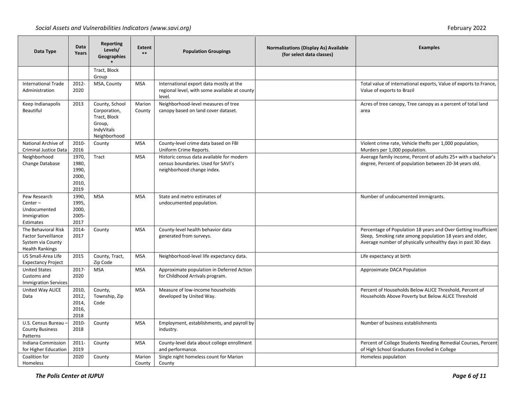| Data Type                                                                                        | Data<br>Years                                     | <b>Reporting</b><br>Levels/<br><b>Geographies</b>                                      | <b>Extent</b><br>$**$ | <b>Population Groupings</b>                                                                                   | <b>Normalizations (Display As) Available</b><br>(for select data classes) | <b>Examples</b>                                                                                                                                                                            |
|--------------------------------------------------------------------------------------------------|---------------------------------------------------|----------------------------------------------------------------------------------------|-----------------------|---------------------------------------------------------------------------------------------------------------|---------------------------------------------------------------------------|--------------------------------------------------------------------------------------------------------------------------------------------------------------------------------------------|
|                                                                                                  |                                                   | Tract, Block<br>Group                                                                  |                       |                                                                                                               |                                                                           |                                                                                                                                                                                            |
| <b>International Trade</b><br>Administration                                                     | 2012-<br>2020                                     | MSA, County                                                                            | <b>MSA</b>            | International export data mostly at the<br>regional level, with some available at county<br>level.            |                                                                           | Total value of international exports, Value of exports to France,<br>Value of exports to Brazil                                                                                            |
| Keep Indianapolis<br><b>Beautiful</b>                                                            | 2013                                              | County, School<br>Corporation,<br>Tract, Block<br>Group,<br>IndyVitals<br>Neighborhood | Marion<br>County      | Neighborhood-level measures of tree<br>canopy based on land cover dataset.                                    |                                                                           | Acres of tree canopy, Tree canopy as a percent of total land<br>area                                                                                                                       |
| National Archive of<br><b>Criminal Justice Data</b>                                              | 2010-<br>2016                                     | County                                                                                 | <b>MSA</b>            | County-level crime data based on FBI<br>Uniform Crime Reports.                                                |                                                                           | Violent crime rate, Vehicle thefts per 1,000 population,<br>Murders per 1,000 population.                                                                                                  |
| Neighborhood<br>Change Database                                                                  | 1970,<br>1980,<br>1990,<br>2000,<br>2010,<br>2019 | Tract                                                                                  | <b>MSA</b>            | Historic census data available for modern<br>census boundaries. Used for SAVI's<br>neighborhood change index. |                                                                           | Average family income, Percent of adults 25+ with a bachelor's<br>degree, Percent of population between 20-34 years old.                                                                   |
| Pew Research<br>Center-<br>Undocumented<br>Immigration<br>Estimates                              | 1990,<br>1995,<br>2000,<br>2005-<br>2017          | <b>MSA</b>                                                                             | <b>MSA</b>            | State and metro estimates of<br>undocumented population.                                                      |                                                                           | Number of undocumented immigrants.                                                                                                                                                         |
| The Behavioral Risk<br><b>Factor Surveillance</b><br>System via County<br><b>Health Rankings</b> | 2014-<br>2017                                     | County                                                                                 | <b>MSA</b>            | County-level health behavior data<br>generated from surveys.                                                  |                                                                           | Percentage of Population 18 years and Over Getting Insufficient<br>Sleep, Smoking rate among population 18 years and older,<br>Average number of physically unhealthy days in past 30 days |
| US Small-Area Life<br><b>Expectancy Project</b>                                                  | 2015                                              | County, Tract,<br>Zip Code                                                             | <b>MSA</b>            | Neighborhood-level life expectancy data.                                                                      |                                                                           | Life expectancy at birth                                                                                                                                                                   |
| <b>United States</b><br>Customs and<br><b>Immigration Services</b>                               | 2017-<br>2020                                     | <b>MSA</b>                                                                             | <b>MSA</b>            | Approximate population in Deferred Action<br>for Childhood Arrivals program.                                  |                                                                           | Approximate DACA Population                                                                                                                                                                |
| United Way ALICE<br>Data                                                                         | 2010,<br>2012,<br>2014,<br>2016,<br>2018          | County,<br>Township, Zip<br>Code                                                       | <b>MSA</b>            | Measure of low-income households<br>developed by United Way.                                                  |                                                                           | Percent of Households Below ALICE Threshold, Percent of<br>Households Above Poverty but Below ALICE Threshold                                                                              |
| U.S. Census Bureau -<br><b>County Business</b><br>Patterns                                       | 2010-<br>2018                                     | County                                                                                 | <b>MSA</b>            | Employment, establishments, and payroll by<br>industry.                                                       |                                                                           | Number of business establishments                                                                                                                                                          |
| Indiana Commission<br>for Higher Education                                                       | 2011-<br>2019                                     | County                                                                                 | <b>MSA</b>            | County-level data about college enrollment<br>and performance.                                                |                                                                           | Percent of College Students Needing Remedial Courses, Percent<br>of High School Graduates Enrolled in College                                                                              |
| Coalition for<br>Homeless                                                                        | 2020                                              | County                                                                                 | Marion<br>County      | Single night homeless count for Marion<br>County                                                              |                                                                           | Homeless population                                                                                                                                                                        |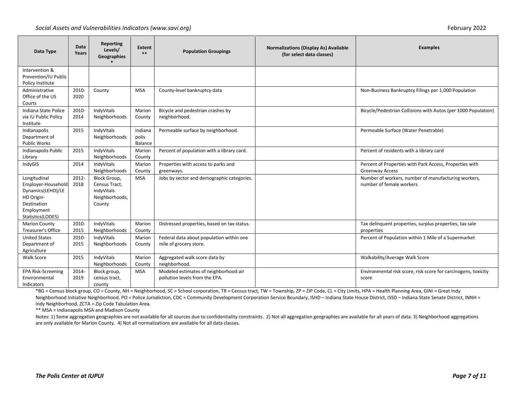| Data Type                                                                                                               | Data<br>Years | Reporting<br>Levels/<br>Geographies                                     | <b>Extent</b><br>$**$       | <b>Population Groupings</b>                                             | <b>Normalizations (Display As) Available</b><br>(for select data classes) | <b>Examples</b>                                                                   |
|-------------------------------------------------------------------------------------------------------------------------|---------------|-------------------------------------------------------------------------|-----------------------------|-------------------------------------------------------------------------|---------------------------------------------------------------------------|-----------------------------------------------------------------------------------|
| Intervention &<br>Prevention/IU Public<br>Policy Institute                                                              |               |                                                                         |                             |                                                                         |                                                                           |                                                                                   |
| Administrative<br>Office of the US<br>Courts                                                                            | 2010-<br>2020 | County                                                                  | <b>MSA</b>                  | County-level bankruptcy data                                            |                                                                           | Non-Business Bankruptcy Filings per 1,000 Population                              |
| Indiana State Police<br>via IU Public Policy<br>Institute                                                               | 2010-<br>2014 | IndvVitals<br>Neighborhoods                                             | Marion<br>County            | Bicycle and pedestrian crashes by<br>neighborhood.                      |                                                                           | Bicycle/Pedestrian Collisions with Autos (per 1000 Population)                    |
| Indianapolis<br>Department of<br><b>Public Works</b>                                                                    | 2015          | IndyVitals<br>Neighborhoods                                             | Indiana<br>polis<br>Balance | Permeable surface by neighborhood.                                      |                                                                           | Permeable Surface (Water Penetrable)                                              |
| Indianapolis Public<br>Library                                                                                          | 2015          | IndyVitals<br>Neighborhoods                                             | Marion<br>County            | Percent of population with a library card.                              |                                                                           | Percent of residents with a library card                                          |
| IndyGIS                                                                                                                 | 2014          | IndyVitals<br>Neighborhoods                                             | Marion<br>County            | Properties with access to parks and<br>greenways.                       |                                                                           | Percent of Properties with Park Access, Properties with<br><b>Greenway Access</b> |
| Longitudinal<br>Employer-Household<br>Dynamics(LEHD)/LE<br>HD Origin-<br>Destination<br>Employment<br>Statistics(LODES) | 2012-<br>2018 | Block Group,<br>Census Tract,<br>IndyVitals<br>Neighborhoods,<br>County | <b>MSA</b>                  | Jobs by sector and demographic categories.                              |                                                                           | Number of workers, number of manufacturing workers,<br>number of female workers   |
| <b>Marion County</b><br><b>Treasurer's Office</b>                                                                       | 2010-<br>2015 | IndyVitals<br>Neighborhoods                                             | Marion<br>County            | Distressed properties, based on tax status.                             |                                                                           | Tax delinquent properties, surplus properties, tax sale<br>properties             |
| <b>United States</b><br>Department of<br>Agriculture                                                                    | 2010-<br>2015 | IndyVitals<br>Neighborhoods                                             | Marion<br>County            | Federal data about population within one<br>mile of grocery store.      |                                                                           | Percent of Population within 1 Mile of a Supermarket                              |
| Walk Score                                                                                                              | 2015          | IndyVitals<br>Neighborhoods                                             | Marion<br>County            | Aggregated walk score data by<br>neighborhood.                          |                                                                           | Walkability/Average Walk Score                                                    |
| <b>EPA Risk-Screening</b><br>Environmental<br>Indicators                                                                | 2014-<br>2019 | Block group,<br>census tract,<br>county                                 | <b>MSA</b>                  | Modeled estimates of neighborhood air<br>pollution levels from the EPA. |                                                                           | Environmental risk score, risk score for carcinogens, toxicity<br>score           |

\*BG = Census block group, CO = County, NH = Neighborhood, SC = School corporation, TR = Census tract, TW = Township, ZP = ZIP Code, CL = City Limits, HPA = Health Planning Area, GINI = Great Indy Neighborhood Initiative Neighborhood. PO = Police Jurisdiction, CDC = Community Development Corporation Service Boundary, ISHD - Indiana State House District, ISSD - Indiana State Senate District, INNH = Indy Neighborhood, ZCTA = Zip Code Tabulation Area.

\*\* MSA = Indianapolis MSA and Madison County

Notes: 1) Some aggregation geographies are not available for all sources due to confidentiality constraints. 2) Not all aggregation geographies are available for all years of data. 3) Neighborhood aggregations are only available for Marion County. 4) Not all normalizations are available for all data classes.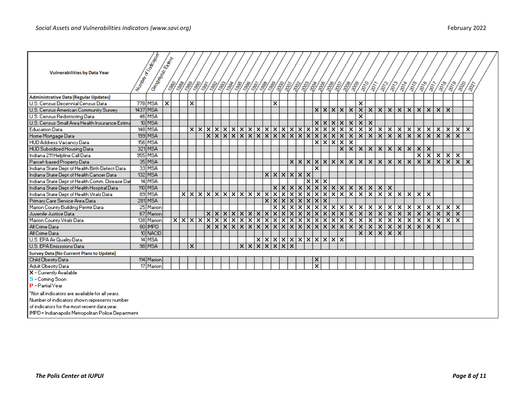| <b>Vulnerabilities by Data Year</b>                | Mumpay of The Road<br><b>Committee Engineer</b> |                         |            |                                    |     |          |    |       |     |                |                                          |                                                                                                                                                                                                                                                                         |                         |       |         |                         |                             |  |              |                         |                         |                         |                         |                         |                         |                         |                       |                         |                                       |              |                                                                     |                                    |                     |  |
|----------------------------------------------------|-------------------------------------------------|-------------------------|------------|------------------------------------|-----|----------|----|-------|-----|----------------|------------------------------------------|-------------------------------------------------------------------------------------------------------------------------------------------------------------------------------------------------------------------------------------------------------------------------|-------------------------|-------|---------|-------------------------|-----------------------------|--|--------------|-------------------------|-------------------------|-------------------------|-------------------------|-------------------------|-------------------------|-------------------------|-----------------------|-------------------------|---------------------------------------|--------------|---------------------------------------------------------------------|------------------------------------|---------------------|--|
|                                                    |                                                 |                         | <b>Seg</b> | 13/3/                              |     | 1\$/\$1. | S, | 13/3/ |     | $\mathcal{S}'$ | 13/3/                                    | $\begin{picture}(120,15)(-20,15)(-20,15)(-20,15)(-20,15)(-20,15)(-20,15)(-20,15)(-20,15)(-20,15)(-20,15)(-20,15)(-20,15)(-20,15)(-20,15)(-20,15)(-20,15)(-20,15)(-20,15)(-20,15)(-20,15)(-20,15)(-20,15)(-20,15)(-20,15)(-20,15)(-20,15)(-20,15)(-20,15)(-20,15)(-20,1$ |                         |       |         |                         |                             |  |              |                         |                         |                         |                         |                         |                         |                         |                       |                         |                                       |              | $\langle \hat{\hat{r}} \rangle \hat{\hat{r}} \rangle \hat{\hat{r}}$ | $\langle \hat{v}^{\prime} \rangle$ | $\hat{\mathcal{S}}$ |  |
| Administrative Data (Regular Updates)              |                                                 |                         |            |                                    |     |          |    |       |     |                |                                          |                                                                                                                                                                                                                                                                         |                         |       |         |                         |                             |  |              |                         |                         |                         |                         |                         |                         |                         |                       |                         |                                       |              |                                                                     |                                    |                     |  |
| U.S. Census Decennial Census Data                  | 778 MSA                                         | $\overline{\mathbf{x}}$ |            | ×                                  |     |          |    |       |     |                |                                          |                                                                                                                                                                                                                                                                         | ×                       |       |         |                         |                             |  |              |                         | $\overline{\mathbf{x}}$ |                         |                         |                         |                         |                         |                       |                         |                                       |              |                                                                     |                                    |                     |  |
| U.S. Census American Community Survey              | 1437 MSA                                        |                         |            |                                    |     |          |    |       |     |                |                                          |                                                                                                                                                                                                                                                                         |                         |       |         |                         | x x x x                     |  |              |                         |                         |                         |                         |                         |                         |                         |                       |                         | x   x   x   x   x   x   x   x   x   x |              |                                                                     |                                    |                     |  |
| U.S. Census Redistricting Data                     | 46 MSA                                          |                         |            |                                    |     |          |    |       |     |                |                                          |                                                                                                                                                                                                                                                                         |                         |       |         |                         |                             |  |              |                         | x                       |                         |                         |                         |                         |                         |                       |                         |                                       |              |                                                                     |                                    |                     |  |
| U.S. Census Small Area Health Insurance Estima     | 10 MSA                                          |                         |            |                                    |     |          |    |       |     |                |                                          |                                                                                                                                                                                                                                                                         |                         |       |         |                         | x[x[x]x]                    |  |              | $\mathbf{x}$            | $\overline{\mathbf{x}}$ | $\overline{\mathbf{x}}$ |                         |                         |                         |                         |                       |                         |                                       |              |                                                                     |                                    |                     |  |
| <b>Education Data</b>                              | 148 MSA                                         |                         |            |                                    | x x |          |    |       |     |                | <u> x x x x x x x x x x x x x x x x</u>  |                                                                                                                                                                                                                                                                         |                         |       |         |                         |                             |  |              | $\overline{\mathbf{x}}$ | $\overline{\mathbf{x}}$ | $\overline{\mathbf{x}}$ |                         | $x \mid x$              | -x ∣                    |                         | $\vert x \vert$       | Ex ∣                    | ×                                     |              | $x \mid x \mid$                                                     | ×.                                 | ×                   |  |
| Home Mortgage Data                                 | 199 MSA                                         |                         |            |                                    |     |          |    |       |     |                | <u> x x x x x x x x x x x x x x x x </u> |                                                                                                                                                                                                                                                                         |                         |       |         |                         |                             |  |              | $\overline{\mathbf{x}}$ | $\overline{\mathbf{x}}$ | $\overline{\mathbf{x}}$ | $\overline{\mathbf{x}}$ | $\overline{\mathbf{x}}$ |                         | x x                     |                       | $\overline{\mathbf{x}}$ | $\vert x \vert$                       |              | $x \mid x \mid$                                                     | $\overline{\mathbf{x}}$            |                     |  |
| HUD Address Vacancy Data                           | 156 MSA                                         |                         |            |                                    |     |          |    |       |     |                |                                          |                                                                                                                                                                                                                                                                         |                         |       |         |                         | x x x                       |  |              | $\overline{\mathbf{x}}$ |                         |                         |                         |                         |                         |                         |                       |                         |                                       |              |                                                                     |                                    |                     |  |
| HUD Subsidized Housing Data                        | 321 MSA                                         |                         |            |                                    |     |          |    |       |     |                |                                          |                                                                                                                                                                                                                                                                         |                         |       |         |                         |                             |  | $\mathbf{x}$ | $\overline{\mathbf{x}}$ | $\mathbf{x}$            | $\overline{\mathbf{x}}$ |                         | $x \mid x$              |                         | x x                     |                       | x x                     |                                       |              |                                                                     |                                    |                     |  |
| Indiana 211 Helpline Call Data                     | 955 MSA                                         |                         |            |                                    |     |          |    |       |     |                |                                          |                                                                                                                                                                                                                                                                         |                         |       |         |                         |                             |  |              |                         |                         |                         |                         |                         |                         |                         |                       |                         |                                       |              |                                                                     | x[x]x[x]x                          |                     |  |
| Parcel-based Property Data                         | 35 MSA                                          |                         |            |                                    |     |          |    |       |     |                |                                          |                                                                                                                                                                                                                                                                         |                         |       |         |                         | x x x x x x                 |  |              | $\mathbf{x}$            | $\overline{\mathbf{x}}$ | $\overline{\mathbf{x}}$ | $\overline{\mathbf{x}}$ | $\vert x \vert$         |                         | x x                     |                       |                         |                                       |              |                                                                     | x x x x                            | ×                   |  |
| Indiana State Dept of Health Birth Defect Data     | 33 MSA                                          |                         |            |                                    |     |          |    |       |     |                |                                          |                                                                                                                                                                                                                                                                         |                         |       |         |                         | x                           |  |              |                         |                         |                         |                         |                         |                         |                         |                       |                         |                                       |              |                                                                     |                                    |                     |  |
| Indiana State Dept of Health Cancer Data           | 132 MSA                                         |                         |            |                                    |     |          |    |       |     |                |                                          |                                                                                                                                                                                                                                                                         |                         |       | x x x x |                         |                             |  |              |                         |                         |                         |                         |                         |                         |                         |                       |                         |                                       |              |                                                                     |                                    |                     |  |
| Indiana State Dept of Health Comm. Disease Dat     | 14 MSA                                          |                         |            |                                    |     |          |    |       |     |                |                                          |                                                                                                                                                                                                                                                                         |                         |       |         | $\overline{\mathbf{x}}$ | $\overline{x} \overline{x}$ |  |              |                         |                         |                         |                         |                         |                         |                         |                       |                         |                                       |              |                                                                     |                                    |                     |  |
| Indiana State Dept of Health Hospital Data         | 110 MSA                                         |                         |            |                                    |     |          |    |       |     |                |                                          |                                                                                                                                                                                                                                                                         |                         |       |         |                         | x x x x x x x x x x x       |  |              |                         |                         |                         |                         | $x \mid x$              |                         |                         |                       |                         |                                       |              |                                                                     |                                    |                     |  |
| Indiana State Dept of Health Vitals Data           | 89 MSA                                          |                         |            | <u>x x x x x x x x x x x x x x</u> |     |          |    |       |     |                |                                          |                                                                                                                                                                                                                                                                         |                         |       |         |                         | <u>xxxxxxxxxxxxx</u>        |  |              |                         |                         | $\overline{\mathbf{x}}$ |                         |                         |                         |                         | $x \times x \times x$ |                         |                                       |              |                                                                     |                                    |                     |  |
| Primary Care Service Area Data                     | <b>281 MSA</b>                                  |                         |            |                                    |     |          |    |       |     |                |                                          |                                                                                                                                                                                                                                                                         |                         |       |         |                         | x[x[x[x[x[x[x]]             |  |              |                         |                         |                         |                         |                         |                         |                         |                       |                         |                                       |              |                                                                     |                                    |                     |  |
| Marion County Building Permit Data                 | 25 Marion                                       |                         |            |                                    |     |          |    |       |     |                |                                          |                                                                                                                                                                                                                                                                         | $\overline{\mathbf{x}}$ | छाप्र |         |                         | <u>xixixixix</u>            |  |              | $\overline{\mathbf{x}}$ | $\overline{\mathbf{x}}$ | $\overline{\mathbf{x}}$ | $\overline{\mathbf{x}}$ | ×                       | $\overline{\mathbf{x}}$ | ×                       |                       | ×                       | ×                                     | $\mathbf{x}$ | $\mathbf{x}$                                                        | $\overline{\mathbf{x}}$            |                     |  |
| Juvenile Justice Data                              | 67 Marion                                       |                         |            |                                    |     |          |    |       |     |                | $XXXXXXXXXXXXXXXXXXXXXXXX$               |                                                                                                                                                                                                                                                                         |                         |       |         |                         |                             |  |              | $\overline{\mathbf{x}}$ | $\overline{\mathbf{x}}$ | $\overline{\mathbf{x}}$ | $\overline{\mathbf{x}}$ | $\overline{\mathbf{x}}$ |                         | $x \mid x$              |                       | $\vert x \vert$         | $\overline{\mathbf{x}}$               | x            | $\vert x \vert$                                                     | $\overline{\mathbf{x}}$            |                     |  |
| Marion County Vitals Data                          | 138 Marion                                      |                         |            |                                    |     |          |    |       |     |                |                                          |                                                                                                                                                                                                                                                                         |                         |       |         |                         |                             |  |              | $\overline{\mathbf{x}}$ | $\overline{\mathbf{x}}$ | $\overline{\mathbf{x}}$ | $\overline{\mathbf{x}}$ | $\overline{\mathbf{x}}$ | $\overline{\mathbf{x}}$ | $\overline{\mathbf{x}}$ |                       | ×                       | $\overline{\mathbf{x}}$               |              | $x \mid x \mid$                                                     | $\overline{\mathbf{x}}$            |                     |  |
| All Crime Data                                     | 80 MPD                                          |                         |            |                                    |     |          |    |       |     |                |                                          |                                                                                                                                                                                                                                                                         |                         |       |         |                         |                             |  |              | $\overline{\mathbf{x}}$ | $\overline{\mathbf{x}}$ | $\overline{\mathbf{x}}$ | $\overline{\mathbf{x}}$ | x                       |                         | $x \mid x$              |                       | $\overline{\mathbf{x}}$ | $\overline{\mathbf{x}}$               | ×            |                                                                     |                                    |                     |  |
| All Crime Data                                     | 10 NACID                                        |                         |            |                                    |     |          |    |       |     |                |                                          |                                                                                                                                                                                                                                                                         |                         |       |         |                         |                             |  |              |                         | x                       | $\overline{\mathbf{x}}$ | $\overline{\mathbf{x}}$ | $\overline{\mathbf{x}}$ | $\overline{\mathbf{x}}$ |                         |                       |                         |                                       |              |                                                                     |                                    |                     |  |
| U.S. EPA Air Quality Data                          | 14 MSA                                          |                         |            |                                    |     |          |    |       |     |                |                                          |                                                                                                                                                                                                                                                                         |                         |       |         |                         | $\frac{X}{X}$               |  |              |                         |                         |                         |                         |                         |                         |                         |                       |                         |                                       |              |                                                                     |                                    |                     |  |
| U.S. EPA Emisssions Data                           | 98 MSA                                          |                         |            | x                                  |     |          |    |       | x x |                | lxl                                      | $\overline{\mathbf{x}}$                                                                                                                                                                                                                                                 | $\vert x \vert$         | x x   |         |                         |                             |  |              |                         |                         |                         |                         |                         |                         |                         |                       |                         |                                       |              |                                                                     |                                    |                     |  |
| Survey Data (No Current Plans to Update)           |                                                 |                         |            |                                    |     |          |    |       |     |                |                                          |                                                                                                                                                                                                                                                                         |                         |       |         |                         |                             |  |              |                         |                         |                         |                         |                         |                         |                         |                       |                         |                                       |              |                                                                     |                                    |                     |  |
| Child Obesity Data                                 | 114 Marion                                      |                         |            |                                    |     |          |    |       |     |                |                                          |                                                                                                                                                                                                                                                                         |                         |       |         |                         | x                           |  |              |                         |                         |                         |                         |                         |                         |                         |                       |                         |                                       |              |                                                                     |                                    |                     |  |
| Adult Obesity Data                                 | 17 Marion                                       |                         |            |                                    |     |          |    |       |     |                |                                          |                                                                                                                                                                                                                                                                         |                         |       |         |                         | $\overline{\mathbf{x}}$     |  |              |                         |                         |                         |                         |                         |                         |                         |                       |                         |                                       |              |                                                                     |                                    |                     |  |
| X - Currently Available                            |                                                 |                         |            |                                    |     |          |    |       |     |                |                                          |                                                                                                                                                                                                                                                                         |                         |       |         |                         |                             |  |              |                         |                         |                         |                         |                         |                         |                         |                       |                         |                                       |              |                                                                     |                                    |                     |  |
| $\mathbf{S}$ - Coming Soon                         |                                                 |                         |            |                                    |     |          |    |       |     |                |                                          |                                                                                                                                                                                                                                                                         |                         |       |         |                         |                             |  |              |                         |                         |                         |                         |                         |                         |                         |                       |                         |                                       |              |                                                                     |                                    |                     |  |
| $\  \mathbf{P} - \mathsf{PartialYear}\ $           |                                                 |                         |            |                                    |     |          |    |       |     |                |                                          |                                                                                                                                                                                                                                                                         |                         |       |         |                         |                             |  |              |                         |                         |                         |                         |                         |                         |                         |                       |                         |                                       |              |                                                                     |                                    |                     |  |
| "Not all indicators are available for all years.   |                                                 |                         |            |                                    |     |          |    |       |     |                |                                          |                                                                                                                                                                                                                                                                         |                         |       |         |                         |                             |  |              |                         |                         |                         |                         |                         |                         |                         |                       |                         |                                       |              |                                                                     |                                    |                     |  |
| Number of indicators shown represents number       |                                                 |                         |            |                                    |     |          |    |       |     |                |                                          |                                                                                                                                                                                                                                                                         |                         |       |         |                         |                             |  |              |                         |                         |                         |                         |                         |                         |                         |                       |                         |                                       |              |                                                                     |                                    |                     |  |
| of indicators for the most recent data year.       |                                                 |                         |            |                                    |     |          |    |       |     |                |                                          |                                                                                                                                                                                                                                                                         |                         |       |         |                         |                             |  |              |                         |                         |                         |                         |                         |                         |                         |                       |                         |                                       |              |                                                                     |                                    |                     |  |
| IMPD = Indianapolis Metropolitan Police Department |                                                 |                         |            |                                    |     |          |    |       |     |                |                                          |                                                                                                                                                                                                                                                                         |                         |       |         |                         |                             |  |              |                         |                         |                         |                         |                         |                         |                         |                       |                         |                                       |              |                                                                     |                                    |                     |  |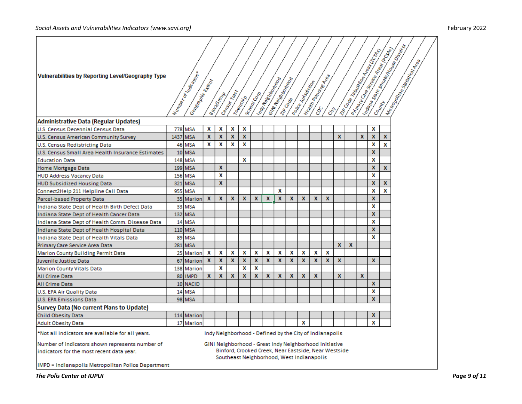| Vulnerabilities by Reporting Level/Geography Type                                                                                                | Number of all adopt<br>Geography Hann |              | I Braccook       | Central Macy | <b>Country R</b>                                                                                                                                                          | Scrapeonega  | Indy New York Trap | Grille Residence of |   | Points during day | Heaville Promince Read |   |                  |              |              | <b>Artists Contract Contract Contract Contract Contract Contract Contract Contract Contract Contract Contract Contract Contract Contract Contract Contract Contract Contract Contract Contract Contract Contract Contract Contra</b><br><b>Indian Registration Contractor Registration</b> |                   | Istilana Barasa Indiana District, a<br><b>International Control Control Control</b> |
|--------------------------------------------------------------------------------------------------------------------------------------------------|---------------------------------------|--------------|------------------|--------------|---------------------------------------------------------------------------------------------------------------------------------------------------------------------------|--------------|--------------------|---------------------|---|-------------------|------------------------|---|------------------|--------------|--------------|--------------------------------------------------------------------------------------------------------------------------------------------------------------------------------------------------------------------------------------------------------------------------------------------|-------------------|-------------------------------------------------------------------------------------|
| <b>Administrative Data (Regular Updates)</b>                                                                                                     |                                       |              |                  |              |                                                                                                                                                                           |              |                    |                     |   |                   |                        |   |                  |              |              |                                                                                                                                                                                                                                                                                            |                   |                                                                                     |
| U.S. Census Decennial Census Data                                                                                                                | 778 MSA                               | X            | X                | X            | X                                                                                                                                                                         |              |                    |                     |   |                   |                        |   |                  |              |              | X                                                                                                                                                                                                                                                                                          |                   |                                                                                     |
| U.S. Census American Community Survey                                                                                                            | 1437 MSA                              | x            | X                | $\mathbf{x}$ | X                                                                                                                                                                         |              |                    |                     |   |                   |                        |   | $\mathbf x$      |              | X            | X                                                                                                                                                                                                                                                                                          | $\mathbf{x}$      |                                                                                     |
| U.S. Census Redistricting Data                                                                                                                   | 46 MSA                                | x            | x                | X            | x                                                                                                                                                                         |              |                    |                     |   |                   |                        |   |                  |              |              | x                                                                                                                                                                                                                                                                                          | X                 |                                                                                     |
| U.S. Census Small Area Health Insurance Estimates                                                                                                | 10 MSA                                |              |                  |              | x                                                                                                                                                                         |              |                    |                     |   |                   |                        |   |                  |              |              | X<br>X                                                                                                                                                                                                                                                                                     |                   |                                                                                     |
| <b>Education Data</b>                                                                                                                            | 148 MSA                               |              | $\boldsymbol{x}$ |              |                                                                                                                                                                           |              |                    |                     |   |                   |                        |   |                  |              |              | x                                                                                                                                                                                                                                                                                          |                   |                                                                                     |
| Home Mortgage Data                                                                                                                               | 199 MSA                               |              | x                |              |                                                                                                                                                                           |              |                    |                     |   |                   |                        |   |                  |              |              | X                                                                                                                                                                                                                                                                                          | $\mathbf{x}$      |                                                                                     |
| <b>HUD Address Vacancy Data</b>                                                                                                                  | 156 MSA                               |              |                  |              |                                                                                                                                                                           |              |                    |                     |   |                   |                        |   |                  |              |              |                                                                                                                                                                                                                                                                                            |                   |                                                                                     |
| <b>HUD Subsidized Housing Data</b>                                                                                                               | 321 MSA                               |              | $\mathbf x$      |              |                                                                                                                                                                           |              |                    | X                   |   |                   |                        |   |                  |              |              | x<br>X                                                                                                                                                                                                                                                                                     | $\mathbf{x}$<br>X |                                                                                     |
| Connect2Help 211 Helpline Call Data                                                                                                              | 955 MSA                               | $\mathbf{x}$ | $\boldsymbol{x}$ | X            | X                                                                                                                                                                         | x            | X                  | $\boldsymbol{x}$    | X | x                 | X                      | X |                  |              |              | X                                                                                                                                                                                                                                                                                          |                   |                                                                                     |
| Parcel-based Property Data                                                                                                                       | 35 Marion                             |              |                  |              |                                                                                                                                                                           |              |                    |                     |   |                   |                        |   |                  |              |              | X                                                                                                                                                                                                                                                                                          |                   |                                                                                     |
| Indiana State Dept of Health Birth Defect Data                                                                                                   | 33 MSA                                |              |                  |              |                                                                                                                                                                           |              |                    |                     |   |                   |                        |   |                  |              |              | x                                                                                                                                                                                                                                                                                          |                   |                                                                                     |
| Indiana State Dept of Health Cancer Data                                                                                                         | 132 MSA<br>14 MSA                     |              |                  |              |                                                                                                                                                                           |              |                    |                     |   |                   |                        |   |                  |              |              | X                                                                                                                                                                                                                                                                                          |                   |                                                                                     |
| Indiana State Dept of Health Comm. Disease Data                                                                                                  | $110$ MSA                             |              |                  |              |                                                                                                                                                                           |              |                    |                     |   |                   |                        |   |                  |              |              | x                                                                                                                                                                                                                                                                                          |                   |                                                                                     |
| Indiana State Dept of Health Hospital Data                                                                                                       | 89 MSA                                |              |                  |              |                                                                                                                                                                           |              |                    |                     |   |                   |                        |   |                  |              |              | X                                                                                                                                                                                                                                                                                          |                   |                                                                                     |
| Indiana State Dept of Health Vitals Data                                                                                                         | 281 MSA                               |              |                  |              |                                                                                                                                                                           |              |                    |                     |   |                   |                        |   | $\mathbf{x}$     | $\mathbf{x}$ |              |                                                                                                                                                                                                                                                                                            |                   |                                                                                     |
| Primary Care Service Area Data                                                                                                                   |                                       | x            | x                | X            | X                                                                                                                                                                         | x            | X                  | x                   | X | x                 | x                      | x |                  |              |              |                                                                                                                                                                                                                                                                                            |                   |                                                                                     |
| Marion County Building Permit Data                                                                                                               | 25 Marion                             | $\mathbf{x}$ | X                | X            | $\mathbf{x}$                                                                                                                                                              | X            | $\mathbf x$        | $\boldsymbol{x}$    | X | X                 | $\mathbf{x}$           | X | $\boldsymbol{x}$ |              |              | X                                                                                                                                                                                                                                                                                          |                   |                                                                                     |
| Juvenile Justice Data                                                                                                                            | 67 Marion                             |              | x                |              | x                                                                                                                                                                         | x            |                    |                     |   |                   |                        |   |                  |              |              |                                                                                                                                                                                                                                                                                            |                   |                                                                                     |
| <b>Marion County Vitals Data</b><br><b>All Crime Data</b>                                                                                        | 138 Marion<br>80 IMPD                 | X            | $\mathbf{x}$     | $\mathbf{x}$ | $\mathbf{x}$                                                                                                                                                              | $\mathbf{x}$ | $\mathbf{x}$       | $\mathbf{x}$        | X | $\mathbf{x}$      | $\mathbf{x}$           |   | $\mathbf{x}$     |              | $\mathbf{x}$ |                                                                                                                                                                                                                                                                                            |                   |                                                                                     |
| <b>All Crime Data</b>                                                                                                                            | 10 NACID                              |              |                  |              |                                                                                                                                                                           |              |                    |                     |   |                   |                        |   |                  |              |              | X                                                                                                                                                                                                                                                                                          |                   |                                                                                     |
| U.S. EPA Air Quality Data                                                                                                                        | 14 MSA                                |              |                  |              |                                                                                                                                                                           |              |                    |                     |   |                   |                        |   |                  |              |              | X                                                                                                                                                                                                                                                                                          |                   |                                                                                     |
| U.S. EPA Emissions Data                                                                                                                          | 98 MSA                                |              |                  |              |                                                                                                                                                                           |              |                    |                     |   |                   |                        |   |                  |              |              | <b>X</b>                                                                                                                                                                                                                                                                                   |                   |                                                                                     |
| Survey Data (No current Plans to Update)                                                                                                         |                                       |              |                  |              |                                                                                                                                                                           |              |                    |                     |   |                   |                        |   |                  |              |              |                                                                                                                                                                                                                                                                                            |                   |                                                                                     |
|                                                                                                                                                  |                                       |              |                  |              |                                                                                                                                                                           |              |                    |                     |   |                   |                        |   |                  |              |              | x                                                                                                                                                                                                                                                                                          |                   |                                                                                     |
| Child Obesity Data                                                                                                                               | 114 Marion<br>17 Marion               |              |                  |              |                                                                                                                                                                           |              |                    |                     |   | X                 |                        |   |                  |              |              | x                                                                                                                                                                                                                                                                                          |                   |                                                                                     |
| <b>Adult Obesity Data</b>                                                                                                                        |                                       |              |                  |              |                                                                                                                                                                           |              |                    |                     |   |                   |                        |   |                  |              |              |                                                                                                                                                                                                                                                                                            |                   |                                                                                     |
| *Not all indicators are available for all years.<br>Number of indicators shown represents number of<br>indicators for the most recent data year. |                                       |              |                  |              | Indy Neighborhood - Defined by the City of Indianapolis<br>GINI Neighborhood - Great Indy Neighborhood Initiative<br>Binford, Crooked Creek, Near Eastside, Near Westside |              |                    |                     |   |                   |                        |   |                  |              |              |                                                                                                                                                                                                                                                                                            |                   |                                                                                     |
| IMPD = Indianapolis Metropolitan Police Department                                                                                               |                                       |              |                  |              | Southeast Neighborhood, West Indianapolis                                                                                                                                 |              |                    |                     |   |                   |                        |   |                  |              |              |                                                                                                                                                                                                                                                                                            |                   |                                                                                     |

*The Polis Center at IUPUI Page 9 of 11*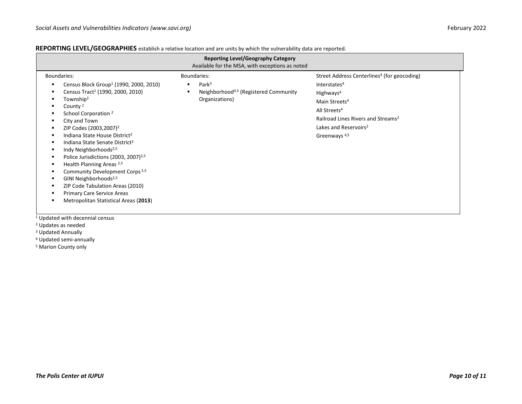## **REPORTING LEVEL/GEOGRAPHIES** establish a relative location and are units by which the vulnerability data are reported.

| <b>Reporting Level/Geography Category</b><br>Available for the MSA, with exceptions as noted                                                                                                                                                                                                                                                                                                                                                                                                                                                                                                                                                                                          |                                                                                                         |                                                                                                                                                                                                                                                                                          |  |  |  |  |  |  |  |  |  |  |  |
|---------------------------------------------------------------------------------------------------------------------------------------------------------------------------------------------------------------------------------------------------------------------------------------------------------------------------------------------------------------------------------------------------------------------------------------------------------------------------------------------------------------------------------------------------------------------------------------------------------------------------------------------------------------------------------------|---------------------------------------------------------------------------------------------------------|------------------------------------------------------------------------------------------------------------------------------------------------------------------------------------------------------------------------------------------------------------------------------------------|--|--|--|--|--|--|--|--|--|--|--|
| Boundaries:<br>Census Block Group <sup>1</sup> (1990, 2000, 2010)<br>Census Tract <sup>1</sup> (1990, 2000, 2010)<br>Township <sup>2</sup><br>County <sup>2</sup><br>School Corporation <sup>2</sup><br>City and Town<br>ZIP Codes (2003,2007) <sup>2</sup><br>Indiana State House District <sup>2</sup><br>Indiana State Senate District <sup>2</sup><br>Indy Neighborhoods <sup>2,5</sup><br>Police Jurisdictions (2003, 2007) <sup>2,5</sup><br>Health Planning Areas <sup>2,5</sup><br>Community Development Corps <sup>2,5</sup><br>GINI Neighborhoods <sup>2,5</sup><br>ZIP Code Tabulation Areas (2010)<br>Primary Care Service Areas<br>Metropolitan Statistical Areas (2013) | Boundaries:<br>Park <sup>3</sup><br>Neighborhood <sup>4,5</sup> (Registered Community<br>Organizations) | Street Address Centerlines <sup>4</sup> (for geocoding)<br>Interstates <sup>4</sup><br>Highways <sup>4</sup><br>Main Streets <sup>4</sup><br>All Streets <sup>4</sup><br>Railroad Lines Rivers and Streams <sup>2</sup><br>Lakes and Reservoirs <sup>2</sup><br>Greenways <sup>4,5</sup> |  |  |  |  |  |  |  |  |  |  |  |
| <sup>1</sup> Updated with decennial census                                                                                                                                                                                                                                                                                                                                                                                                                                                                                                                                                                                                                                            |                                                                                                         |                                                                                                                                                                                                                                                                                          |  |  |  |  |  |  |  |  |  |  |  |

- <sup>2</sup> Updates as needed
- <sup>3</sup> Updated Annually
- <sup>4</sup> Updated semi-annually
- <sup>5</sup> Marion County only